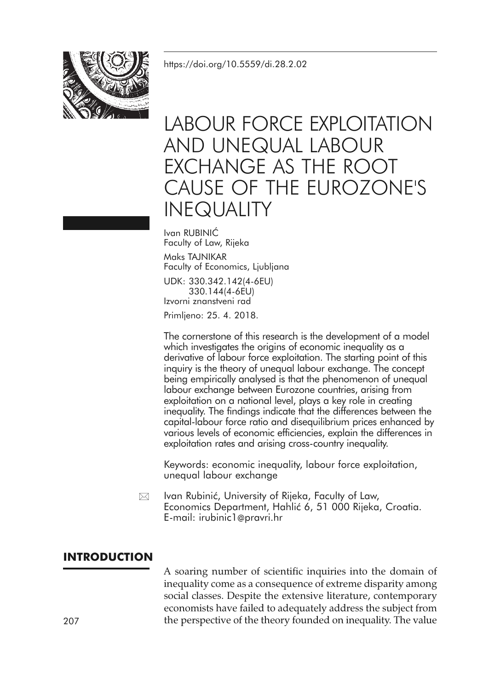<https://doi.org/10.5559/di.28.2.02>



# LABOUR FORCE EXPLOITATION AND UNEQUAL LABOUR EXCHANGE AS THE ROOT CAUSE OF THE EUROZONE'S INEQUALITY

Ivan RUBINIĆ Faculty of Law, Rijeka Maks TAJNIKAR Faculty of Economics, Ljubljana

UDK: 330.342.142(4-6EU) 330.144(4-6EU) Izvorni znanstveni rad

Primljeno: 25. 4. 2018.

The cornerstone of this research is the development of a model which investigates the origins of economic inequality as a derivative of labour force exploitation. The starting point of this inquiry is the theory of unequal labour exchange. The concept being empirically analysed is that the phenomenon of unequal labour exchange between Eurozone countries, arising from exploitation on a national level, plays a key role in creating inequality. The findings indicate that the differences between the capital-labour force ratio and disequilibrium prices enhanced by various levels of economic efficiencies, explain the differences in exploitation rates and arising cross-country inequality.

Keywords: economic inequality, labour force exploitation, unequal labour exchange

Ivan Rubinić, University of Rijeka, Faculty of Law, Economics Department, Hahlić 6, 51 000 Rijeka, Croatia. E-mail: irubinic1@pravri.hr  $\boxtimes$ 

# **INTRODUCTION**

A soaring number of scientific inquiries into the domain of inequality come as a consequence of extreme disparity among social classes. Despite the extensive literature, contemporary economists have failed to adequately address the subject from 207 the perspective of the theory founded on inequality. The value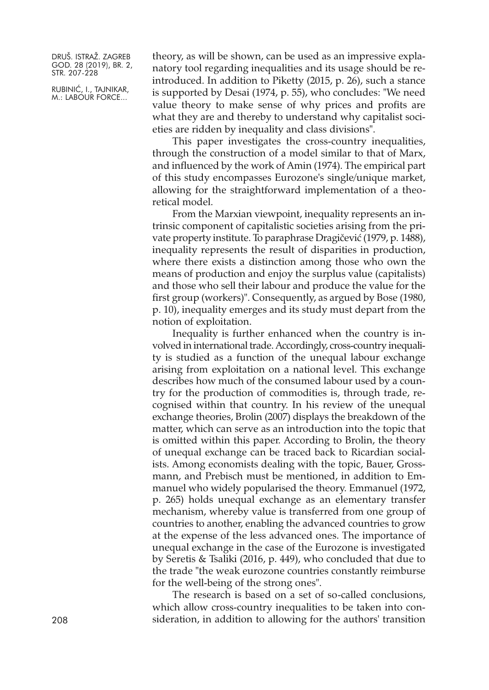RUBINIĆ, I., TAJNIKAR, M.: LABOUR FORCE...

theory, as will be shown, can be used as an impressive explanatory tool regarding inequalities and its usage should be reintroduced. In addition to Piketty (2015, p. 26), such a stance is supported by Desai (1974, p. 55), who concludes: "We need value theory to make sense of why prices and profits are what they are and thereby to understand why capitalist societies are ridden by inequality and class divisions".

This paper investigates the cross-country inequalities, through the construction of a model similar to that of Marx, and influenced by the work of Amin (1974). The empirical part of this study encompasses Eurozone's single/unique market, allowing for the straightforward implementation of a theoretical model.

From the Marxian viewpoint, inequality represents an intrinsic component of capitalistic societies arising from the private property institute. To paraphrase Dragičević (1979, p. 1488), inequality represents the result of disparities in production, where there exists a distinction among those who own the means of production and enjoy the surplus value (capitalists) and those who sell their labour and produce the value for the first group (workers)". Consequently, as argued by Bose (1980, p. 10), inequality emerges and its study must depart from the notion of exploitation.

Inequality is further enhanced when the country is involved in international trade. Accordingly, cross-country inequality is studied as a function of the unequal labour exchange arising from exploitation on a national level. This exchange describes how much of the consumed labour used by a country for the production of commodities is, through trade, recognised within that country. In his review of the unequal exchange theories, Brolin (2007) displays the breakdown of the matter, which can serve as an introduction into the topic that is omitted within this paper. According to Brolin, the theory of unequal exchange can be traced back to Ricardian socialists. Among economists dealing with the topic, Bauer, Grossmann, and Prebisch must be mentioned, in addition to Emmanuel who widely popularised the theory. Emmanuel (1972, p. 265) holds unequal exchange as an elementary transfer mechanism, whereby value is transferred from one group of countries to another, enabling the advanced countries to grow at the expense of the less advanced ones. The importance of unequal exchange in the case of the Eurozone is investigated by Seretis & Tsaliki (2016, p. 449), who concluded that due to the trade "the weak eurozone countries constantly reimburse for the well-being of the strong ones".

The research is based on a set of so-called conclusions, which allow cross-country inequalities to be taken into consideration, in addition to allowing for the authors' transition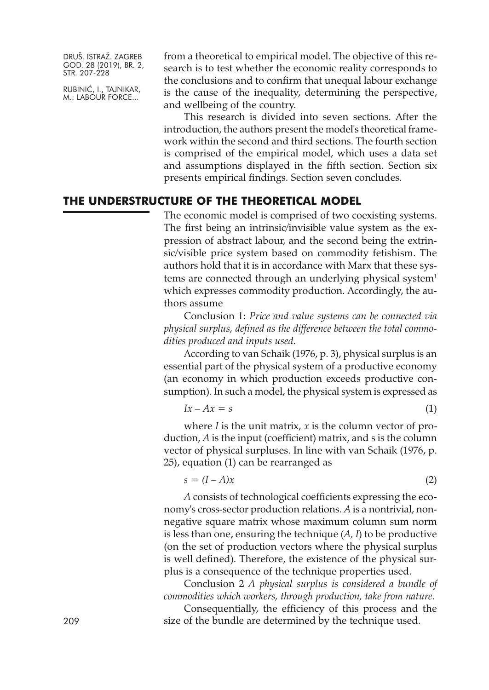RUBINIĆ, I., TAJNIKAR, M.: LABOUR FORCE...

from a theoretical to empirical model. The objective of this research is to test whether the economic reality corresponds to the conclusions and to confirm that unequal labour exchange is the cause of the inequality, determining the perspective, and wellbeing of the country.

This research is divided into seven sections. After the introduction, the authors present the model's theoretical framework within the second and third sections. The fourth section is comprised of the empirical model, which uses a data set and assumptions displayed in the fifth section. Section six presents empirical findings. Section seven concludes.

# **THE UNDERSTRUCTURE OF THE THEORETICAL MODEL**

The economic model is comprised of two coexisting systems. The first being an intrinsic/invisible value system as the expression of abstract labour, and the second being the extrinsic/visible price system based on commodity fetishism. The authors hold that it is in accordance with Marx that these systems are connected through an underlying physical system<sup>1</sup> which expresses commodity production. Accordingly, the authors assume

Conclusion 1**:** *Price and value systems can be connected via physical surplus, defined as the difference between the total commodities produced and inputs used*.

According to van Schaik (1976, p. 3), physical surplus is an essential part of the physical system of a productive economy (an economy in which production exceeds productive consumption). In such a model, the physical system is expressed as

$$
Ix - Ax = s \tag{1}
$$

where *I* is the unit matrix, *x* is the column vector of production, *A* is the input (coefficient) matrix, and s is the column vector of physical surpluses. In line with van Schaik (1976, p. 25), equation (1) can be rearranged as

$$
s = (I - A)x \tag{2}
$$

*A* consists of technological coefficients expressing the economy's cross-sector production relations. *A* is a nontrivial, nonnegative square matrix whose maximum column sum norm is less than one, ensuring the technique (*A, I*) to be productive (on the set of production vectors where the physical surplus is well defined). Therefore, the existence of the physical surplus is a consequence of the technique properties used.

Conclusion 2 *A physical surplus is considered a bundle of commodities which workers, through production, take from nature*.

Consequentially, the efficiency of this process and the 209 size of the bundle are determined by the technique used.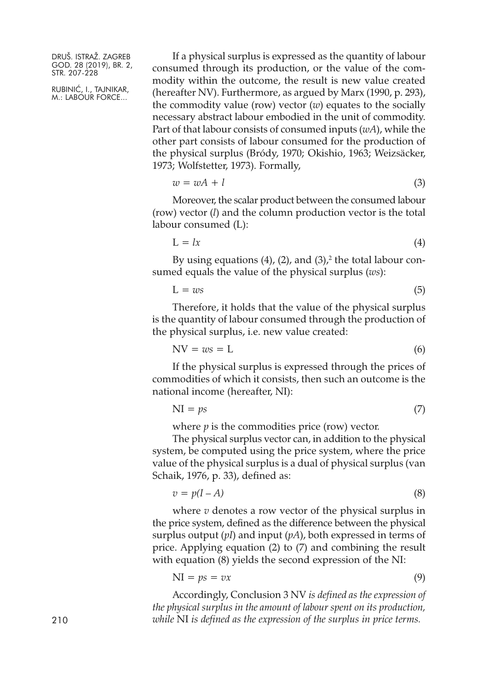RUBINIĆ, I., TAJNIKAR, M.: LABOUR FORCE...

If a physical surplus is expressed as the quantity of labour consumed through its production, or the value of the commodity within the outcome, the result is new value created (hereafter NV). Furthermore, as argued by Marx (1990, p. 293), the commodity value (row) vector (*w*) equates to the socially necessary abstract labour embodied in the unit of commodity. Part of that labour consists of consumed inputs (*wA*), while the other part consists of labour consumed for the production of the physical surplus (Bródy, 1970; Okishio, 1963; Weizsäcker, 1973; Wolfstetter, 1973). Formally,

$$
w = wA + l \tag{3}
$$

Moreover, the scalar product between the consumed labour (row) vector (*l*) and the column production vector is the total labour consumed (L):

$$
L = lx \tag{4}
$$

By using equations (4), (2), and (3), <sup>2</sup> the total labour consumed equals the value of the physical surplus (*ws*):

$$
L = ws \tag{5}
$$

Therefore, it holds that the value of the physical surplus is the quantity of labour consumed through the production of the physical surplus, i.e. new value created:

$$
NV = ws = L \tag{6}
$$

If the physical surplus is expressed through the prices of commodities of which it consists, then such an outcome is the national income (hereafter, NI):

$$
NI = ps \tag{7}
$$

where *p* is the commodities price (row) vector.

The physical surplus vector can, in addition to the physical system, be computed using the price system, where the price value of the physical surplus is a dual of physical surplus (van Schaik, 1976, p. 33), defined as:

$$
v = p(I - A) \tag{8}
$$

where *v* denotes a row vector of the physical surplus in the price system, defined as the difference between the physical surplus output (*pI*) and input (*pA*), both expressed in terms of price. Applying equation (2) to (7) and combining the result with equation (8) yields the second expression of the NI:

$$
NI = ps = vx \tag{9}
$$

Accordingly, Conclusion 3 NV *is defined as the expression of the physical surplus in the amount of labour spent on its production, while* NI *is defined as the expression of the surplus in price terms.*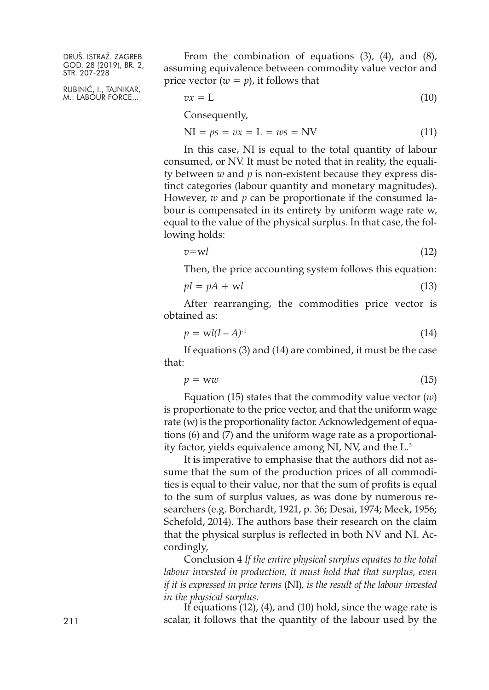RUBINIĆ, I., TAJNIKAR, M.: LABOUR FORCE...

From the combination of equations (3), (4), and (8), assuming equivalence between commodity value vector and price vector  $(w = p)$ , it follows that

$$
vx = L \tag{10}
$$

Consequently,

$$
NI = ps = vx = L = ws = NV
$$
 (11)

In this case, NI is equal to the total quantity of labour consumed, or NV. It must be noted that in reality, the equality between *w* and *p* is non-existent because they express distinct categories (labour quantity and monetary magnitudes). However, *w* and *p* can be proportionate if the consumed labour is compensated in its entirety by uniform wage rate w, equal to the value of the physical surplus. In that case, the following holds:

$$
v = w \tag{12}
$$

Then, the price accounting system follows this equation:

$$
pI = pA + \mathbf{w}l \tag{13}
$$

After rearranging, the commodities price vector is obtained as:

$$
p = \mathbf{w}l(l - A)^{-1} \tag{14}
$$

If equations (3) and (14) are combined, it must be the case that:

$$
p = ww \tag{15}
$$

Equation (15) states that the commodity value vector (*w*) is proportionate to the price vector, and that the uniform wage rate (w) is the proportionality factor. Acknowledgement of equations (6) and (7) and the uniform wage rate as a proportionality factor, yields equivalence among NI, NV, and the L. 3

It is imperative to emphasise that the authors did not assume that the sum of the production prices of all commodities is equal to their value, nor that the sum of profits is equal to the sum of surplus values, as was done by numerous researchers (e.g. Borchardt, 1921, p. 36; Desai, 1974; Meek, 1956; Schefold, 2014). The authors base their research on the claim that the physical surplus is reflected in both NV and NI. Accordingly,

Conclusion 4 *If the entire physical surplus equates to the total labour invested in production, it must hold that that surplus, even if it is expressed in price terms* (NI)*, is the result of the labour invested in the physical surplus*.

If equations (12), (4), and (10) hold, since the wage rate is 211 scalar, it follows that the quantity of the labour used by the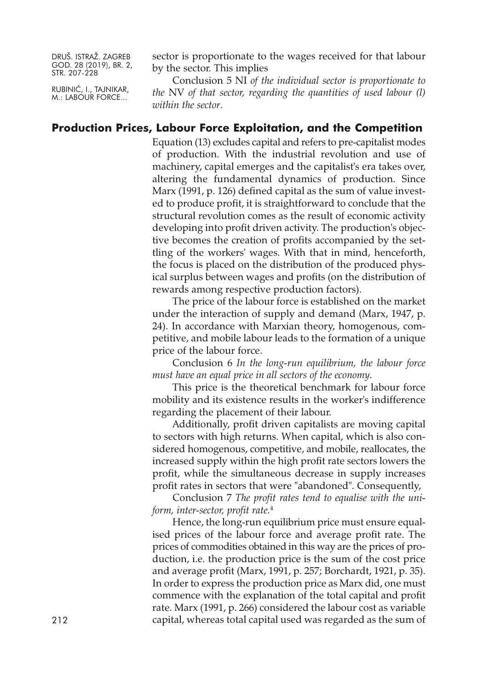RUBINIĆ, I., TAJNIKAR, M.: LABOUR FORCE...

sector is proportionate to the wages received for that labour by the sector. This implies

Conclusion 5 NI *of the individual sector is proportionate to the* NV *of that sector, regarding the quantities of used labour (l) within the sector*.

#### **Production Prices, Labour Force Exploitation, and the Competition**

Equation (13) excludes capital and refers to pre-capitalist modes of production. With the industrial revolution and use of machinery, capital emerges and the capitalist's era takes over, altering the fundamental dynamics of production. Since Marx (1991, p. 126) defined capital as the sum of value invested to produce profit, it is straightforward to conclude that the structural revolution comes as the result of economic activity developing into profit driven activity. The production's objective becomes the creation of profits accompanied by the settling of the workers' wages. With that in mind, henceforth, the focus is placed on the distribution of the produced physical surplus between wages and profits (on the distribution of rewards among respective production factors).

The price of the labour force is established on the market under the interaction of supply and demand (Marx, 1947, p. 24). In accordance with Marxian theory, homogenous, competitive, and mobile labour leads to the formation of a unique price of the labour force.

Conclusion 6 *In the long-run equilibrium, the labour force must have an equal price in all sectors of the economy*.

This price is the theoretical benchmark for labour force mobility and its existence results in the worker's indifference regarding the placement of their labour.

Additionally, profit driven capitalists are moving capital to sectors with high returns. When capital, which is also considered homogenous, competitive, and mobile, reallocates, the increased supply within the high profit rate sectors lowers the profit, while the simultaneous decrease in supply increases profit rates in sectors that were "abandoned". Consequently,

Conclusion 7 *The profit rates tend to equalise with the uniform, inter-sector, profit rate.* 4

Hence, the long-run equilibrium price must ensure equalised prices of the labour force and average profit rate. The prices of commodities obtained in this way are the prices of production, i.e. the production price is the sum of the cost price and average profit (Marx, 1991, p. 257; Borchardt, 1921, p. 35). In order to express the production price as Marx did, one must commence with the explanation of the total capital and profit rate. Marx (1991, p. 266) considered the labour cost as variable capital, whereas total capital used was regarded as the sum of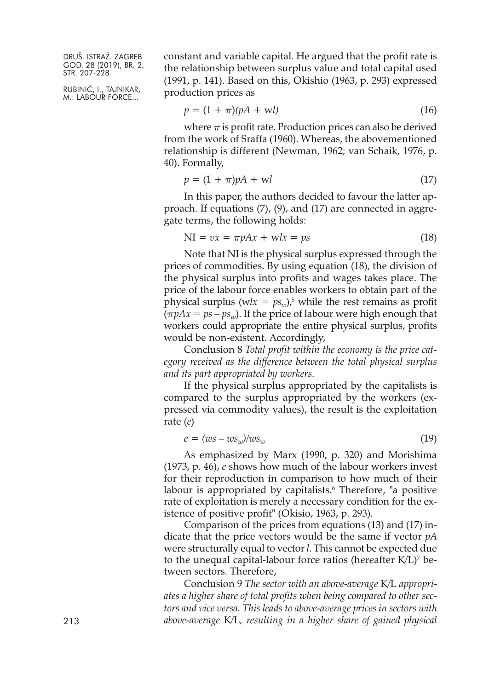RUBINIĆ, I., TAJNIKAR, M.: LABOUR FORCE...

constant and variable capital. He argued that the profit rate is the relationship between surplus value and total capital used (1991, p. 141). Based on this, Okishio (1963, p. 293) expressed production prices as

$$
p = (1 + \pi)(pA + \mathbf{w}l) \tag{16}
$$

where  $\pi$  is profit rate. Production prices can also be derived from the work of Sraffa (1960). Whereas, the abovementioned relationship is different (Newman, 1962; van Schaik, 1976, p. 40). Formally,

$$
p = (1 + \pi)pA + \mathbf{w}l \tag{17}
$$

In this paper, the authors decided to favour the latter approach. If equations (7), (9), and (17) are connected in aggregate terms, the following holds:

$$
NI = vx = \pi pAx + wlx = ps \tag{18}
$$

Note that NI is the physical surplus expressed through the prices of commodities. By using equation (18), the division of the physical surplus into profits and wages takes place. The price of the labour force enables workers to obtain part of the physical surplus ( $wlx = ps_w$ ),<sup>5</sup> while the rest remains as profit  $(\pi pAx = ps - ps_w)$ . If the price of labour were high enough that workers could appropriate the entire physical surplus, profits would be non-existent. Accordingly,

Conclusion 8 *Total profit within the economy is the price category received as the difference between the total physical surplus and its part appropriated by workers*.

If the physical surplus appropriated by the capitalists is compared to the surplus appropriated by the workers (expressed via commodity values), the result is the exploitation rate (*e*)

$$
e = (ws - ws_w)/ws_w \tag{19}
$$

As emphasized by Marx (1990, p. 320) and Morishima (1973, p. 46), *e* shows how much of the labour workers invest for their reproduction in comparison to how much of their labour is appropriated by capitalists. <sup>6</sup> Therefore, "a positive rate of exploitation is merely a necessary condition for the existence of positive profit" (Okisio, 1963, p. 293).

Comparison of the prices from equations (13) and (17) indicate that the price vectors would be the same if vector *pA* were structurally equal to vector *l*. This cannot be expected due to the unequal capital-labour force ratios (hereafter K/L)7 between sectors. Therefore,

Conclusion 9 *The sector with an above-average* K/L *appropriates a higher share of total profits when being compared to other sectors and vice versa. This leads to above-average prices in sectors with* 213 *above-average* K/L*, resulting in a higher share of gained physical*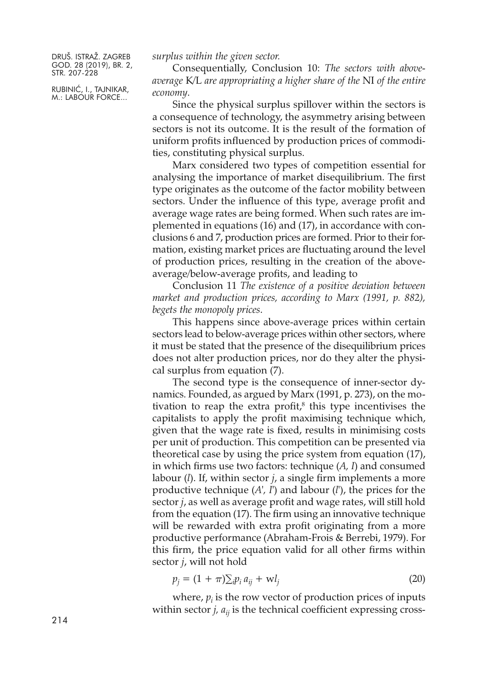RUBINIĆ, I., TAJNIKAR, M.: LABOUR FORCE...

*surplus within the given sector.*

Consequentially, Conclusion 10: *The sectors with aboveaverage* K/L *are appropriating a higher share of the* NI *of the entire economy*.

Since the physical surplus spillover within the sectors is a consequence of technology, the asymmetry arising between sectors is not its outcome. It is the result of the formation of uniform profits influenced by production prices of commodities, constituting physical surplus.

Marx considered two types of competition essential for analysing the importance of market disequilibrium. The first type originates as the outcome of the factor mobility between sectors. Under the influence of this type, average profit and average wage rates are being formed. When such rates are implemented in equations (16) and (17), in accordance with conclusions 6 and 7, production prices are formed. Prior to their formation, existing market prices are fluctuating around the level of production prices, resulting in the creation of the aboveaverage/below-average profits, and leading to

Conclusion 11 *The existence of a positive deviation between market and production prices, according to Marx (1991, p. 882), begets the monopoly prices*.

This happens since above-average prices within certain sectors lead to below-average prices within other sectors, where it must be stated that the presence of the disequilibrium prices does not alter production prices, nor do they alter the physical surplus from equation (7).

The second type is the consequence of inner-sector dynamics. Founded, as argued by Marx (1991, p. 273), on the motivation to reap the extra profit, <sup>8</sup> this type incentivises the capitalists to apply the profit maximising technique which, given that the wage rate is fixed, results in minimising costs per unit of production. This competition can be presented via theoretical case by using the price system from equation (17), in which firms use two factors: technique (*A, I*) and consumed labour (*l*). If, within sector *j*, a single firm implements a more productive technique (*A', I'*) and labour (*l'*), the prices for the sector *j*, as well as average profit and wage rates, will still hold from the equation (17). The firm using an innovative technique will be rewarded with extra profit originating from a more productive performance (Abraham-Frois & Berrebi, 1979). For this firm, the price equation valid for all other firms within sector *j*, will not hold

$$
p_j = (1 + \pi) \sum_i p_i a_{ij} + \mathbf{w} l_j \tag{20}
$$

where,  $p_i$  is the row vector of production prices of inputs within sector  $j$ ,  $a_{ij}$  is the technical coefficient expressing cross-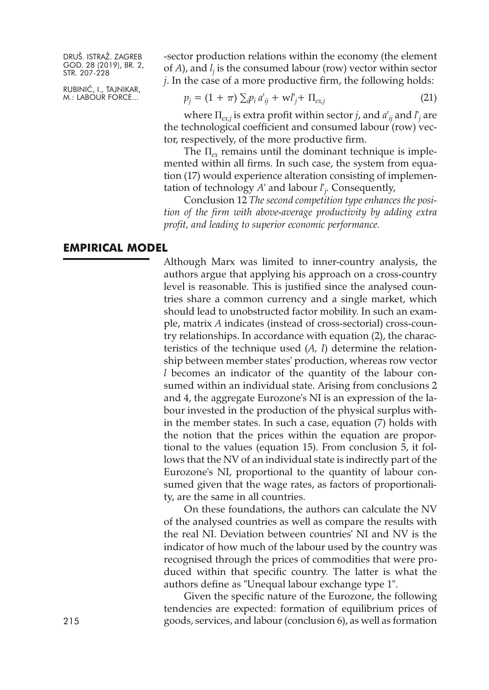RUBINIĆ, I., TAJNIKAR, M.: LABOUR FORCE...

-sector production relations within the economy (the element of *A*), and *lj* is the consumed labour (row) vector within sector *j*. In the case of a more productive firm, the following holds:

$$
p_j = (1 + \pi) \sum_{i} p_i a'_{ij} + w l'_j + \Pi_{ex,j}
$$
 (21)

where Π*ex,j* is extra profit within sector *j*, and *a' ij* and *l' <sup>j</sup>* are the technological coefficient and consumed labour (row) vector, respectively, of the more productive firm.

The Π*ex* remains until the dominant technique is implemented within all firms. In such case, the system from equation (17) would experience alteration consisting of implementation of technology *A'* and labour *l' j* . Consequently,

Conclusion 12 *The second competition type enhances the position of the firm with above-average productivity by adding extra profit, and leading to superior economic performance.*

#### **EMPIRICAL MODEL**

Although Marx was limited to inner-country analysis, the authors argue that applying his approach on a cross-country level is reasonable. This is justified since the analysed countries share a common currency and a single market, which should lead to unobstructed factor mobility. In such an example, matrix *A* indicates (instead of cross-sectorial) cross-country relationships. In accordance with equation (2), the characteristics of the technique used (*A, I*) determine the relationship between member states' production, whereas row vector *l* becomes an indicator of the quantity of the labour consumed within an individual state. Arising from conclusions 2 and 4, the aggregate Eurozone's NI is an expression of the labour invested in the production of the physical surplus within the member states. In such a case, equation (7) holds with the notion that the prices within the equation are proportional to the values (equation 15). From conclusion 5, it follows that the NV of an individual state is indirectly part of the Eurozone's NI, proportional to the quantity of labour consumed given that the wage rates, as factors of proportionality, are the same in all countries.

On these foundations, the authors can calculate the NV of the analysed countries as well as compare the results with the real NI. Deviation between countries' NI and NV is the indicator of how much of the labour used by the country was recognised through the prices of commodities that were produced within that specific country. The latter is what the authors define as "Unequal labour exchange type 1".

Given the specific nature of the Eurozone, the following tendencies are expected: formation of equilibrium prices of 215 goods, services, and labour (conclusion 6), as well as formation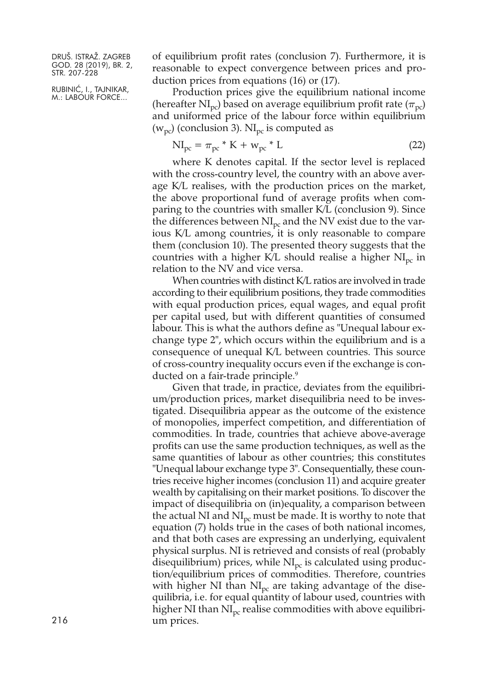RUBINIĆ, I., TAJNIKAR, M.: LABOUR FORCE...

of equilibrium profit rates (conclusion 7). Furthermore, it is reasonable to expect convergence between prices and production prices from equations (16) or (17).

Production prices give the equilibrium national income (hereafter  $NI_{pc}$ ) based on average equilibrium profit rate ( $\pi_{pc}$ ) and uniformed price of the labour force within equilibrium ( $w_{pc}$ ) (conclusion 3). NI<sub>pc</sub> is computed as

$$
NI_{pc} = \pi_{pc} * K + w_{pc} * L \tag{22}
$$

where K denotes capital. If the sector level is replaced with the cross-country level, the country with an above average K/L realises, with the production prices on the market, the above proportional fund of average profits when comparing to the countries with smaller K/L (conclusion 9). Since the differences between  $NI_{nc}$  and the NV exist due to the various K/L among countries, it is only reasonable to compare them (conclusion 10). The presented theory suggests that the countries with a higher K/L should realise a higher  $NI<sub>pc</sub>$  in relation to the NV and vice versa.

When countries with distinct K/L ratios are involved in trade according to their equilibrium positions, they trade commodities with equal production prices, equal wages, and equal profit per capital used, but with different quantities of consumed labour. This is what the authors define as "Unequal labour exchange type 2", which occurs within the equilibrium and is a consequence of unequal K/L between countries. This source of cross-country inequality occurs even if the exchange is conducted on a fair-trade principle. 9

Given that trade, in practice, deviates from the equilibrium/production prices, market disequilibria need to be investigated. Disequilibria appear as the outcome of the existence of monopolies, imperfect competition, and differentiation of commodities. In trade, countries that achieve above-average profits can use the same production techniques, as well as the same quantities of labour as other countries; this constitutes "Unequal labour exchange type 3". Consequentially, these countries receive higher incomes (conclusion 11) and acquire greater wealth by capitalising on their market positions. To discover the impact of disequilibria on (in)equality, a comparison between the actual NI and  $NI<sub>pc</sub>$  must be made. It is worthy to note that equation (7) holds true in the cases of both national incomes, and that both cases are expressing an underlying, equivalent physical surplus. NI is retrieved and consists of real (probably disequilibrium) prices, while  $NI<sub>pc</sub>$  is calculated using production/equilibrium prices of commodities. Therefore, countries with higher NI than  $NI<sub>pc</sub>$  are taking advantage of the disequilibria, i.e. for equal quantity of labour used, countries with higher NI than  $NI<sub>pc</sub>$  realise commodities with above equilibrium prices.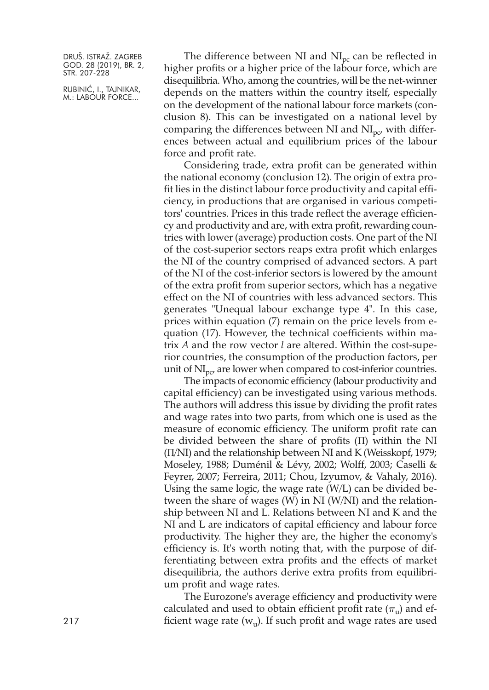RUBINIĆ, I., TAJNIKAR, M.: LABOUR FORCE...

The difference between NI and  $NI<sub>pc</sub>$  can be reflected in higher profits or a higher price of the labour force, which are disequilibria. Who, among the countries, will be the net-winner depends on the matters within the country itself, especially on the development of the national labour force markets (conclusion 8). This can be investigated on a national level by comparing the differences between NI and  $NI<sub>nc</sub>$ , with differences between actual and equilibrium prices of the labour force and profit rate.

Considering trade, extra profit can be generated within the national economy (conclusion 12). The origin of extra profit lies in the distinct labour force productivity and capital efficiency, in productions that are organised in various competitors' countries. Prices in this trade reflect the average efficiency and productivity and are, with extra profit, rewarding countries with lower (average) production costs. One part of the NI of the cost-superior sectors reaps extra profit which enlarges the NI of the country comprised of advanced sectors. A part of the NI of the cost-inferior sectors is lowered by the amount of the extra profit from superior sectors, which has a negative effect on the NI of countries with less advanced sectors. This generates "Unequal labour exchange type 4". In this case, prices within equation (7) remain on the price levels from equation (17). However, the technical coefficients within matrix *A* and the row vector *l* are altered. Within the cost-superior countries, the consumption of the production factors, per unit of  $\text{NI}_{\text{DC}}$  are lower when compared to cost-inferior countries.

The impacts of economic efficiency (labour productivity and capital efficiency) can be investigated using various methods. The authors will address this issue by dividing the profit rates and wage rates into two parts, from which one is used as the measure of economic efficiency. The uniform profit rate can be divided between the share of profits (Π) within the NI (Π/NI) and the relationship between NI and K (Weisskopf, 1979; Moseley, 1988; Duménil & Lévy, 2002; Wolff, 2003; Caselli & Feyrer, 2007; Ferreira, 2011; Chou, Izyumov, & Vahaly, 2016). Using the same logic, the wage rate (W/L) can be divided between the share of wages (W) in NI (W/NI) and the relationship between NI and L. Relations between NI and K and the NI and L are indicators of capital efficiency and labour force productivity. The higher they are, the higher the economy's efficiency is. It's worth noting that, with the purpose of differentiating between extra profits and the effects of market disequilibria, the authors derive extra profits from equilibrium profit and wage rates.

The Eurozone's average efficiency and productivity were calculated and used to obtain efficient profit rate  $(\pi_u)$  and ef-217 **ignorihing fixture finding field wage rates (** $w_u$ **). If such profit and wage rates are used**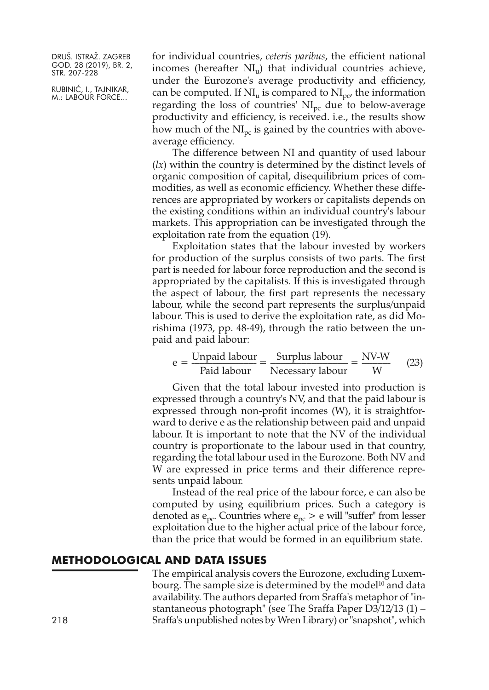RUBINIĆ, I., TAJNIKAR, M.: LABOUR FORCE...

for individual countries, *ceteris paribus*, the efficient national incomes (hereafter  $NI_{u}$ ) that individual countries achieve, under the Eurozone's average productivity and efficiency, can be computed. If  $NI_{u}$  is compared to  $NI_{nc'}$  the information regarding the loss of countries'  $NI<sub>pc</sub>$  due to below-average productivity and efficiency, is received. i.e., the results show how much of the  $NI<sub>pc</sub>$  is gained by the countries with aboveaverage efficiency.

The difference between NI and quantity of used labour (*lx*) within the country is determined by the distinct levels of organic composition of capital, disequilibrium prices of commodities, as well as economic efficiency. Whether these differences are appropriated by workers or capitalists depends on the existing conditions within an individual country's labour markets. This appropriation can be investigated through the exploitation rate from the equation (19).

Exploitation states that the labour invested by workers for production of the surplus consists of two parts. The first part is needed for labour force reproduction and the second is appropriated by the capitalists. If this is investigated through the aspect of labour, the first part represents the necessary labour, while the second part represents the surplus/unpaid labour. This is used to derive the exploitation rate, as did Morishima (1973, pp. 48-49), through the ratio between the unpaid and paid labour:

$$
e = \frac{Unpaid labour}{Paid labour} = \frac{Surplus labour}{Necessary labour} = \frac{NV-W}{W}
$$
 (23)

Given that the total labour invested into production is expressed through a country's NV, and that the paid labour is expressed through non-profit incomes (W), it is straightforward to derive e as the relationship between paid and unpaid labour. It is important to note that the NV of the individual country is proportionate to the labour used in that country, regarding the total labour used in the Eurozone. Both NV and W are expressed in price terms and their difference represents unpaid labour.

Instead of the real price of the labour force, e can also be computed by using equilibrium prices. Such a category is denoted as  $e_{pc}$ . Countries where  $e_{pc}$  > e will "suffer" from lesser exploitation due to the higher actual price of the labour force, than the price that would be formed in an equilibrium state.

#### **METHODOLOGICAL AND DATA ISSUES**

The empirical analysis covers the Eurozone, excluding Luxembourg. The sample size is determined by the model <sup>10</sup> and data availability. The authors departed from Sraffa's metaphor of "instantaneous photograph" (see The Sraffa Paper D3/12/13 (1) – Sraffa's unpublished notes by Wren Library) or"snapshot", which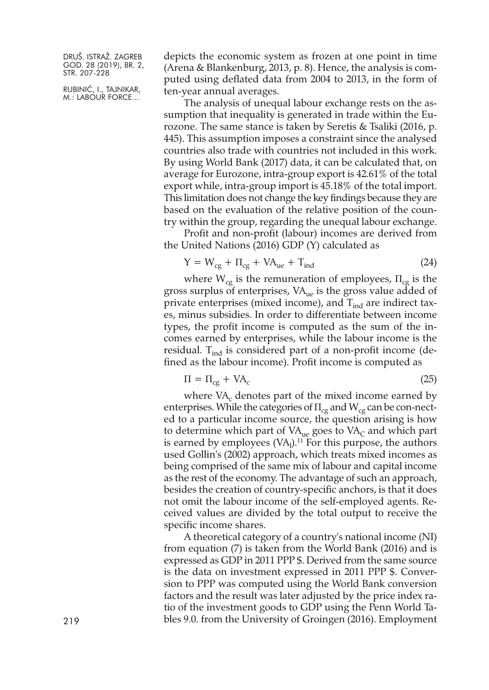RUBINIĆ, I., TAJNIKAR, M.: LABOUR FORCE...

depicts the economic system as frozen at one point in time (Arena & Blankenburg, 2013, p. 8). Hence, the analysis is computed using deflated data from 2004 to 2013, in the form of ten-year annual averages.

The analysis of unequal labour exchange rests on the assumption that inequality is generated in trade within the Eurozone. The same stance is taken by Seretis & Tsaliki (2016, p. 445). This assumption imposes a constraint since the analysed countries also trade with countries not included in this work. By using World Bank (2017) data, it can be calculated that, on average for Eurozone, intra-group export is 42.61% of the total export while, intra-group import is 45.18% of the total import. This limitation does not change the key findings because they are based on the evaluation of the relative position of the country within the group, regarding the unequal labour exchange.

Profit and non-profit (labour) incomes are derived from the United Nations (2016) GDP (Y) calculated as

$$
Y = W_{cg} + \Pi_{cg} + VA_{ue} + T_{ind}
$$
 (24)

where  $W_{cg}$  is the remuneration of employees,  $\Pi_{cg}$  is the gross surplus of enterprises,  $VA<sub>ue</sub>$  is the gross value added of private enterprises (mixed income), and  $T_{ind}$  are indirect taxes, minus subsidies. In order to differentiate between income types, the profit income is computed as the sum of the incomes earned by enterprises, while the labour income is the residual.  $T_{ind}$  is considered part of a non-profit income (defined as the labour income). Profit income is computed as

$$
\Pi = \Pi_{cg} + VA_c \tag{25}
$$

where  $VA_c$  denotes part of the mixed income earned by enterprises. While the categories of  $\Pi_{cg}$  and  $W_{cg}$  can be con-nected to a particular income source, the question arising is how to determine which part of  $VA<sub>ue</sub>$  goes to  $VA<sub>C</sub>$  and which part is earned by employees  $\rm (VA_l).^{11}$  For this purpose, the authors used Gollin's (2002) approach, which treats mixed incomes as being comprised of the same mix of labour and capital income as the rest of the economy. The advantage of such an approach, besides the creation of country-specific anchors, is that it does not omit the labour income of the self-employed agents. Received values are divided by the total output to receive the specific income shares.

A theoretical category of a country's national income (NI) from equation (7) is taken from the World Bank (2016) and is expressed as GDP in 2011 PPP \$. Derived from the same source is the data on investment expressed in 2011 PPP \$. Conversion to PPP was computed using the World Bank conversion factors and the result was later adjusted by the price index ratio of the investment goods to GDP using the Penn World Ta-219 bles 9.0. from the University of Groingen (2016). Employment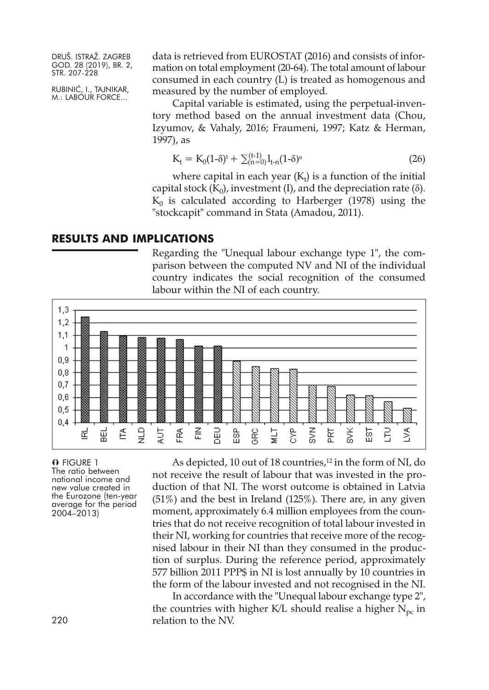RUBINIĆ, I., TAJNIKAR, M.: LABOUR FORCE...

data is retrieved from EUROSTAT (2016) and consists of information on total employment (20-64). The total amount of labour consumed in each country (L) is treated as homogenous and measured by the number of employed.

Capital variable is estimated, using the perpetual-inventory method based on the annual investment data (Chou, Izyumov, & Vahaly, 2016; Fraumeni, 1997; Katz & Herman, 1997), as

$$
K_t = K_0 (1 - \delta)^t + \sum_{n=0}^{(t-1)} l_{t-n} (1 - \delta)^n
$$
 (26)

where capital in each year ( $\mathrm{K}_\mathrm{t}$ ) is a function of the initial capital stock  $(K_0)$ , investment (I), and the depreciation rate (δ).  $K_0$  is calculated according to Harberger (1978) using the "stockcapit" command in Stata (Amadou, 2011).

#### **RESULTS AND IMPLICATIONS**

Regarding the "Unequal labour exchange type 1", the comparison between the computed NV and NI of the individual country indicates the social recognition of the consumed labour within the NI of each country.



O FIGURE 1 The ratio between national income and new value created in the Eurozone (ten-year average for the period 2004–2013)

As depicted, 10 out of 18 countries, <sup>12</sup> in the form of NI, do not receive the result of labour that was invested in the production of that NI. The worst outcome is obtained in Latvia  $(51\%)$  and the best in Ireland  $(125\%)$ . There are, in any given moment, approximately 6.4 million employees from the countries that do not receive recognition of total labour invested in their NI, working for countries that receive more of the recognised labour in their NI than they consumed in the production of surplus. During the reference period, approximately 577 billion 2011 PPP\$ in NI is lost annually by 10 countries in the form of the labour invested and not recognised in the NI.

In accordance with the "Unequal labour exchange type 2", the countries with higher K/L should realise a higher  $N_{\text{pc}}$  in relation to the NV.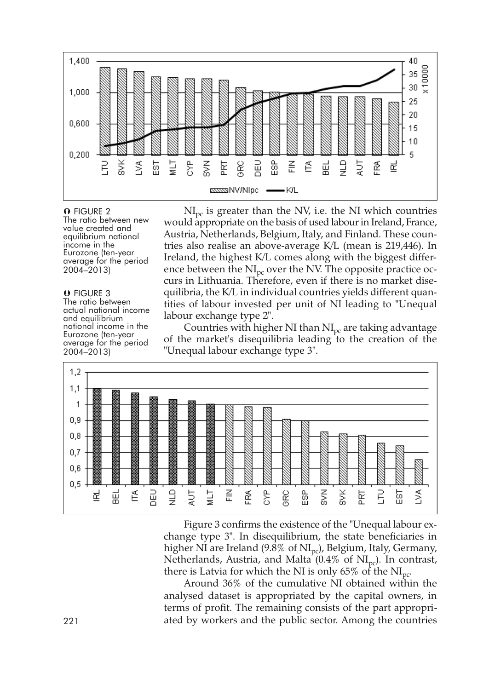

O FIGURE 2 The ratio between new value created and equilibrium national income in the<br>Eurozone (ten-year<br>average for the period 2004–2013)

**O** FIGURE 3<br>The ratio between actual national income<br>
and equilibrium<br>
national income in the<br>
Eurozone (ten-year<br>
average for the period 2004–2013)

 $NI<sub>pc</sub>$  is greater than the NV, i.e. the NI which countries would appropriate on the basis of used labour in Ireland, France, Austria, Netherlands, Belgium, Italy, and Finland. These countries also realise an above-average K/L (mean is 219,446). In Ireland, the highest K/L comes along with the biggest difference between the  $NI<sub>pc</sub>$  over the NV. The opposite practice occurs in Lithuania. Therefore, even if there is no market disequilibria, the K/L in individual countries yields different quantities of labour invested per unit of NI leading to "Unequal labour exchange type 2".

Countries with higher NI than  $NI<sub>pc</sub>$  are taking advantage of the market's disequilibria leading to the creation of the "Unequal labour exchange type 3".



Figure 3 confirms the existence of the "Unequal labour exchange type 3". In disequilibrium, the state beneficiaries in higher NI are Ireland (9.8% of NI<sub>pc</sub>), Belgium, Italy, Germany, Netherlands, Austria, and Malta  $(0.4\% \text{ of } NI_{nc})$ . In contrast, there is Latvia for which the NI is only 65% of the  $NI<sub>pc</sub>$ .

Around 36% of the cumulative NI obtained within the analysed dataset is appropriated by the capital owners, in terms of profit. The remaining consists of the part appropri-221 ated by workers and the public sector. Among the countries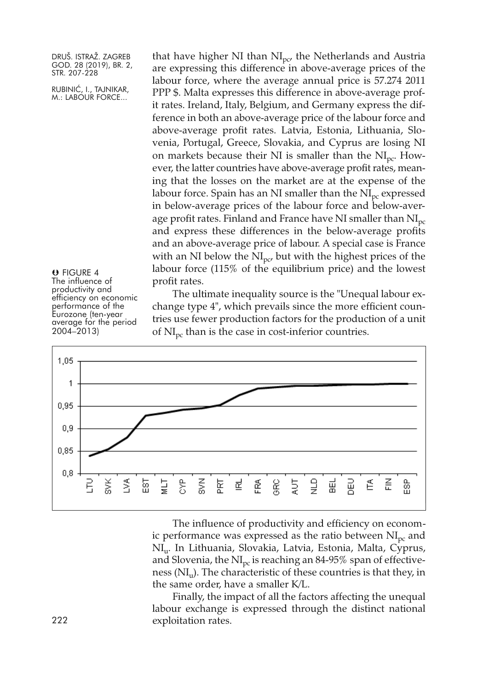RUBINIĆ, I., TAJNIKAR, M.: LABOUR FORCE...

that have higher NI than  $NI<sub>nc</sub>$ , the Netherlands and Austria are expressing this difference in above-average prices of the labour force, where the average annual price is 57.274 2011 PPP \$. Malta expresses this difference in above-average profit rates. Ireland, Italy, Belgium, and Germany express the difference in both an above-average price of the labour force and above-average profit rates. Latvia, Estonia, Lithuania, Slovenia, Portugal, Greece, Slovakia, and Cyprus are losing NI on markets because their NI is smaller than the  $NI<sub>pc</sub>$ . However, the latter countries have above-average profit rates, meaning that the losses on the market are at the expense of the labour force. Spain has an NI smaller than the  $NI<sub>pc</sub>$  expressed in below-average prices of the labour force and below-average profit rates. Finland and France have NI smaller than  $NI<sub>pc</sub>$ and express these differences in the below-average profits and an above-average price of labour. A special case is France with an NI below the  $NI<sub>pc</sub>$  but with the highest prices of the labour force (115% of the equilibrium price) and the lowest profit rates.

 FIGURE 4 The influence of<br>productivity and efficiency on economic<br>performance of the<br>Eurozone (ten-year<br>average for the period 2004–2013)

The ultimate inequality source is the "Unequal labour exchange type 4", which prevails since the more efficient countries use fewer production factors for the production of a unit of  $NI<sub>pc</sub>$  than is the case in cost-inferior countries.



The influence of productivity and efficiency on economic performance was expressed as the ratio between  $NI<sub>pc</sub>$  and NIu. In Lithuania, Slovakia, Latvia, Estonia, Malta, Cyprus, and Slovenia, the  $NI<sub>pc</sub>$  is reaching an 84-95% span of effectiveness (NI<sub>u</sub>). The characteristic of these countries is that they, in the same order, have a smaller K/L.

Finally, the impact of all the factors affecting the unequal labour exchange is expressed through the distinct national exploitation rates.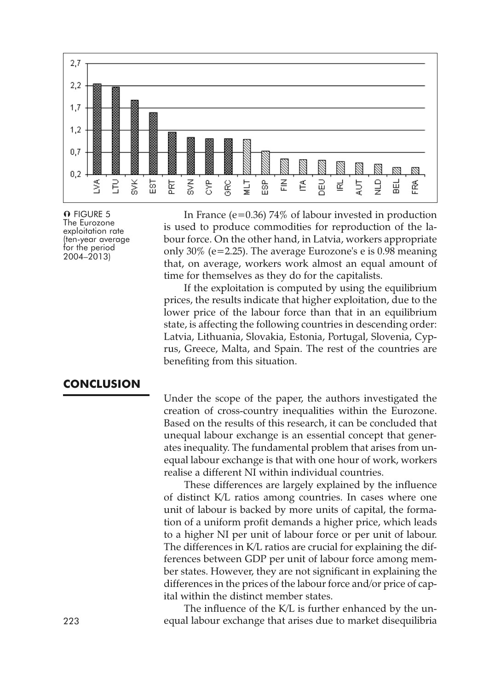

O FIGURE 5 The Eurozone exploitation rate (ten-year average for the period 2004–2013)

In France (e=0.36) 74% of labour invested in production is used to produce commodities for reproduction of the labour force. On the other hand, in Latvia, workers appropriate only 30% (e=2.25). The average Eurozone's e is 0.98 meaning that, on average, workers work almost an equal amount of time for themselves as they do for the capitalists.

If the exploitation is computed by using the equilibrium prices, the results indicate that higher exploitation, due to the lower price of the labour force than that in an equilibrium state, is affecting the following countries in descending order: Latvia, Lithuania, Slovakia, Estonia, Portugal, Slovenia, Cyprus, Greece, Malta, and Spain. The rest of the countries are benefiting from this situation.

#### **CONCLUSION**

Under the scope of the paper, the authors investigated the creation of cross-country inequalities within the Eurozone. Based on the results of this research, it can be concluded that unequal labour exchange is an essential concept that generates inequality. The fundamental problem that arises from unequal labour exchange is that with one hour of work, workers realise a different NI within individual countries.

These differences are largely explained by the influence of distinct K/L ratios among countries. In cases where one unit of labour is backed by more units of capital, the formation of a uniform profit demands a higher price, which leads to a higher NI per unit of labour force or per unit of labour. The differences in K/L ratios are crucial for explaining the differences between GDP per unit of labour force among member states. However, they are not significant in explaining the differences in the prices of the labour force and/or price of capital within the distinct member states.

The influence of the K/L is further enhanced by the un-223 equal labour exchange that arises due to market disequilibria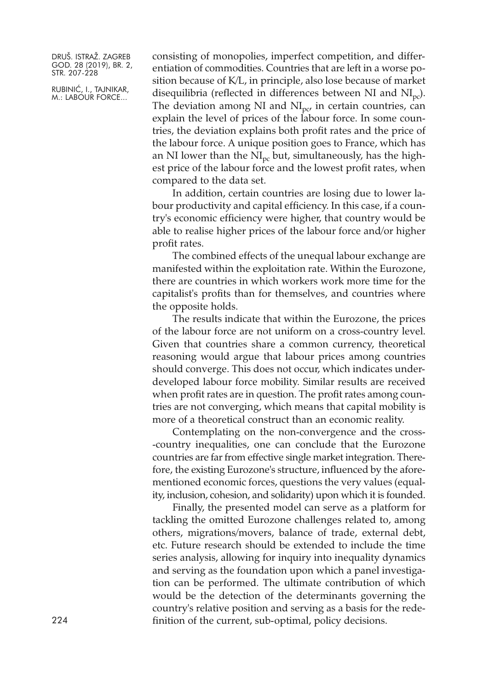RUBINIĆ, I., TAJNIKAR, M.: LABOUR FORCE...

consisting of monopolies, imperfect competition, and differentiation of commodities. Countries that are left in a worse position because of K/L, in principle, also lose because of market disequilibria (reflected in differences between NI and  $\text{NI}_{\text{pc}}$ ). The deviation among NI and  $NI<sub>nc</sub>$  in certain countries, can explain the level of prices of the labour force. In some countries, the deviation explains both profit rates and the price of the labour force. A unique position goes to France, which has an NI lower than the  $NI<sub>pc</sub>$  but, simultaneously, has the highest price of the labour force and the lowest profit rates, when compared to the data set.

In addition, certain countries are losing due to lower labour productivity and capital efficiency. In this case, if a country's economic efficiency were higher, that country would be able to realise higher prices of the labour force and/or higher profit rates.

The combined effects of the unequal labour exchange are manifested within the exploitation rate. Within the Eurozone, there are countries in which workers work more time for the capitalist's profits than for themselves, and countries where the opposite holds.

The results indicate that within the Eurozone, the prices of the labour force are not uniform on a cross-country level. Given that countries share a common currency, theoretical reasoning would argue that labour prices among countries should converge. This does not occur, which indicates underdeveloped labour force mobility. Similar results are received when profit rates are in question. The profit rates among countries are not converging, which means that capital mobility is more of a theoretical construct than an economic reality.

Contemplating on the non-convergence and the cross- -country inequalities, one can conclude that the Eurozone countries are far from effective single market integration. Therefore, the existing Eurozone's structure, influenced by the aforementioned economic forces, questions the very values (equality, inclusion, cohesion, and solidarity) upon which it is founded.

Finally, the presented model can serve as a platform for tackling the omitted Eurozone challenges related to, among others, migrations/movers, balance of trade, external debt, etc. Future research should be extended to include the time series analysis, allowing for inquiry into inequality dynamics and serving as the foundation upon which a panel investigation can be performed. The ultimate contribution of which would be the detection of the determinants governing the country's relative position and serving as a basis for the redefinition of the current, sub-optimal, policy decisions.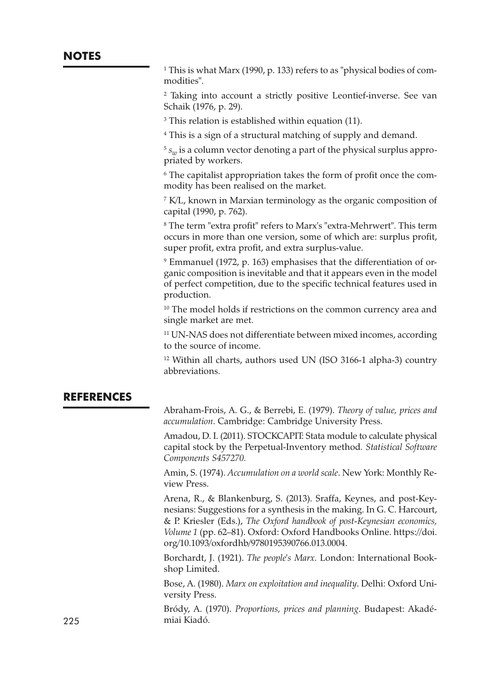<sup>1</sup> This is what Marx (1990, p. 133) refers to as "physical bodies of commodities".

<sup>2</sup> Taking into account a strictly positive Leontief-inverse. See van Schaik (1976, p. 29).

<sup>3</sup> This relation is established within equation (11).

<sup>4</sup> This is a sign of a structural matching of supply and demand.

 $5 s<sub>w</sub>$  is a column vector denoting a part of the physical surplus appropriated by workers.

<sup>6</sup> The capitalist appropriation takes the form of profit once the commodity has been realised on the market.

<sup>7</sup> K/L, known in Marxian terminology as the organic composition of capital (1990, p. 762).

<sup>8</sup> The term "extra profit" refers to Marx's "extra-Mehrwert". This term occurs in more than one version, some of which are: surplus profit, super profit, extra profit, and extra surplus-value.

<sup>9</sup> Emmanuel (1972, p. 163) emphasises that the differentiation of organic composition is inevitable and that it appears even in the model of perfect competition, due to the specific technical features used in production.

<sup>10</sup> The model holds if restrictions on the common currency area and single market are met.

<sup>11</sup> UN-NAS does not differentiate between mixed incomes, according to the source of income.

<sup>12</sup> Within all charts, authors used UN (ISO 3166-1 alpha-3) country abbreviations.

### **REFERENCES**

Abraham-Frois, A. G., & Berrebi, E. (1979). *Theory of value, prices and accumulation*. Cambridge: Cambridge University Press.

Amadou, D. I. (2011). STOCKCAPIT: Stata module to calculate physical capital stock by the Perpetual-Inventory method*. Statistical Software Components S457270.*

Amin, S. (1974). *Accumulation on a world scale*. New York: Monthly Review Press.

Arena, R., & Blankenburg, S. (2013). Sraffa, Keynes, and post-Keynesians: Suggestions for a synthesis in the making. In G. C. Harcourt, & P. Kriesler (Eds.), *The Oxford handbook of post-Keynesian economics, Volume 1* (pp. 62–81). Oxford: Oxford Handbooks Online. [https://doi.](https://doi.org/10.1093/oxfordhb/9780195390766.013.0004) [org/10.1093/oxfordhb/9780195390766.013.0004.](https://doi.org/10.1093/oxfordhb/9780195390766.013.0004)

Borchardt, J. (1921). *The people's Marx*. London: International Bookshop Limited.

Bose, A. (1980). *Marx on exploitation and inequality*. Delhi: Oxford University Press.

Bródy, A. (1970). *Proportions, prices and planning*. Budapest: Akadé-225 miai Kiadó.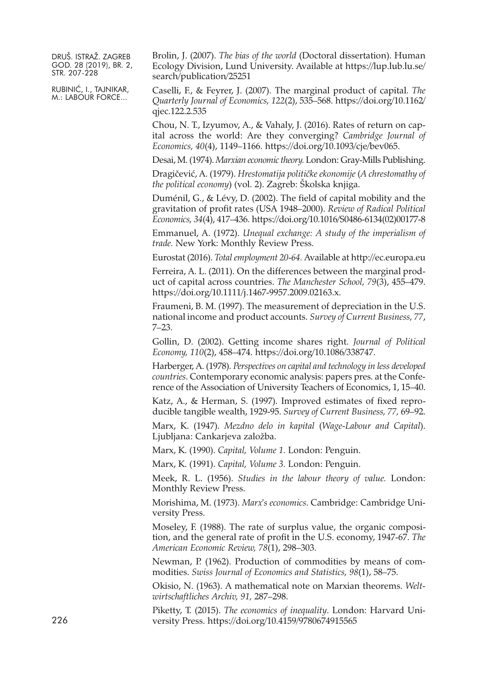RUBINIĆ, I., TAJNIKAR, M.: LABOUR FORCE...

Brolin, J. (2007). *The bias of the world* (Doctoral dissertation). Human Ecology Division, Lund University. Available at [https://lup.lub.lu.se/](https://lup.lub.lu.se/search/publication/25251) [search/publication/25251](https://lup.lub.lu.se/search/publication/25251)

Caselli, F., & Feyrer, J. (2007). The marginal product of capital. *The Quarterly Journal of Economics, 122*(2), 535–568. [https://doi.org/10.1162/](https://doi.org/10.1162/qjec.122.2.535) [qjec.122.2.535](https://doi.org/10.1162/qjec.122.2.535)

Chou, N. T., Izyumov, A., & Vahaly, J. (2016). Rates of return on capital across the world: Are they converging? *Cambridge Journal of Economics, 40*(4), 1149–1166. [https://doi.org/10.1093/cje/bev065.](https://doi.org/10.1093/cje/bev065)

Desai, M. (1974). *Marxian economictheory.* London: Gray-Mills Publishing.

Dragičević, A. (1979). *Hrestomatija političke ekonomije* (*A chrestomathy of the political economy*) (vol. 2). Zagreb: Školska knjiga.

Duménil, G., & Lévy, D. (2002). The field of capital mobility and the gravitation of profit rates (USA 1948–2000). *Review of Radical Political Economics, 34*(4), 417–436. [https://doi.org/10.1016/S0486-6134\(02\)00177-8](https://doi.org/10.1016/S0486-6134(02)00177-8)

Emmanuel, A. (1972). *Unequal exchange: A study of the imperialism of trade.* New York: Monthly Review Press.

Eurostat (2016). *Total employment 20-64.* Available at <http://ec.europa.eu>

Ferreira, A. L. (2011). On the differences between the marginal product of capital across countries. *The Manchester School, 79*(3), 455–479. [https://doi.org/10.1111/j.1467-9957.2009.02163.x.](https://doi.org/10.1111/j.1467-9957.2009.02163.x)

Fraumeni, B. M. (1997). The measurement of depreciation in the U.S. national income and product accounts. *Survey of Current Business, 77*, 7–23.

Gollin, D. (2002). Getting income shares right. *Journal of Political Economy, 110*(2), 458–474. [https://doi.org/10.1086/338747.](https://doi.org/10.1086/338747)

Harberger, A. (1978). *Perspectives on capital and technology in less developed countries*. Contemporary economic analysis: papers pres. at the Conference of the Association of University Teachers of Economics, 1, 15–40.

Katz, A., & Herman, S. (1997). Improved estimates of fixed reproducible tangible wealth, 1929-95. *Survey of Current Business, 77,* 69–92.

Marx, K. (1947). *Mezdno delo in kapital* (*Wage-Labour and Capital*). Ljubljana: Cankarjeva založba.

Marx, K. (1990). *Capital, Volume 1.* London: Penguin.

Marx, K. (1991). *Capital, Volume 3.* London: Penguin.

Meek, R. L. (1956). *Studies in the labour theory of value.* London: Monthly Review Press.

Morishima, M. (1973). *Marx's economics*. Cambridge: Cambridge University Press.

Moseley, F. (1988). The rate of surplus value, the organic composition, and the general rate of profit in the U.S. economy, 1947-67. *The American Economic Review, 78*(1), 298–303.

Newman, P. (1962). Production of commodities by means of commodities. *Swiss Journal of Economics and Statistics, 98*(1), 58–75.

Okisio, N. (1963). A mathematical note on Marxian theorems. *Weltwirtschaftliches Archiv, 91,* 287–298.

Piketty, T. (2015). *The economics of inequality*. London: Harvard University Press. <https://doi.org/10.4159/9780674915565>

226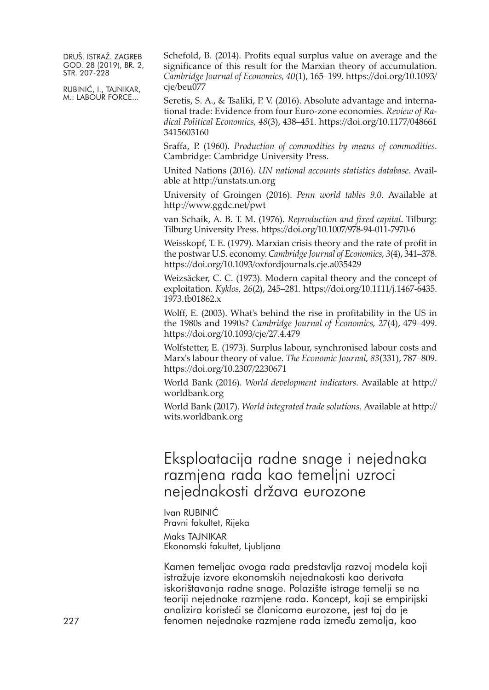RUBINIĆ, I., TAJNIKAR, M.: LABOUR FORCE...

Schefold, B. (2014). Profits equal surplus value on average and the significance of this result for the Marxian theory of accumulation. *Cambridge Journal of Economics, 40*(1), 165–199. [https://doi.org/10.1093/](https://doi.org/10.1093/cje/beu077) cie/beu077

Seretis, S. A., & Tsaliki, P. V. (2016). Absolute advantage and international trade: Evidence from four Euro-zone economies. *Review of Radical Political Economics, 48*(3), 438–451. [https://doi.org/10.1177/048661](https://doi.org/10.1177/0486613415603160) [3415603160](https://doi.org/10.1177/0486613415603160)

Sraffa, P. (1960). *Production of commodities by means of commodities*. Cambridge: Cambridge University Press.

United Nations (2016). *UN national accounts statistics database*. Available at <http://unstats.un.org>

University of Groingen (2016). *Penn world tables 9.0.* Available at <http://www.ggdc.net/pwt>

van Schaik, A. B. T. M. (1976). *Reproduction and fixed capital*. Tilburg: Tilburg University Press. <https://doi.org/10.1007/978-94-011-7970-6>

Weisskopf, T. E. (1979). Marxian crisis theory and the rate of profit in the postwar U.S. economy. *Cambridge Journal of Economics*, 3(4), 341–378. <https://doi.org/10.1093/oxfordjournals.cje.a035429>

Weizsäcker, C. C. (1973). Modern capital theory and the concept of exploitation. *Kyklos, 26*(2), 245–281. [https://doi.org/10.1111/j.1467-6435.](https://doi.org/10.1111/j.1467-6435.1973.tb01862.x) [1973.tb01862.x](https://doi.org/10.1111/j.1467-6435.1973.tb01862.x)

Wolff, E. (2003). What's behind the rise in profitability in the US in the 1980s and 1990s? *Cambridge Journal of Economics, 27*(4), 479–499. <https://doi.org/10.1093/cje/27.4.479>

Wolfstetter, E. (1973). Surplus labour, synchronised labour costs and Marx's labour theory of value. *The Economic Journal, 83*(331), 787–809. <https://doi.org/10.2307/2230671>

World Bank (2016). *World development indicators*. Available at [http://](http://worldbank.org) [worldbank.org](http://worldbank.org)

World Bank (2017). *World integrated trade solutions*. Available at [http://](http://wits.worldbank.org) [wits.worldbank.org](http://wits.worldbank.org)

# Eksploatacija radne snage i nejednaka razmjena rada kao temeljni uzroci nejednakosti država eurozone

Ivan RUBINIĆ Pravni fakultet, Rijeka Maks TAJNIKAR Ekonomski fakultet, Ljubljana

Kamen temeljac ovoga rada predstavlja razvoj modela koji istražuje izvore ekonomskih nejednakosti kao derivata iskorištavanja radne snage. Polazište istrage temelji se na teoriji nejednake razmjene rada. Koncept, koji se empirijski analizira koristeći se članicama eurozone, jest taj da je 227 fenomen nejednake razmjene rada između zemalja, kao